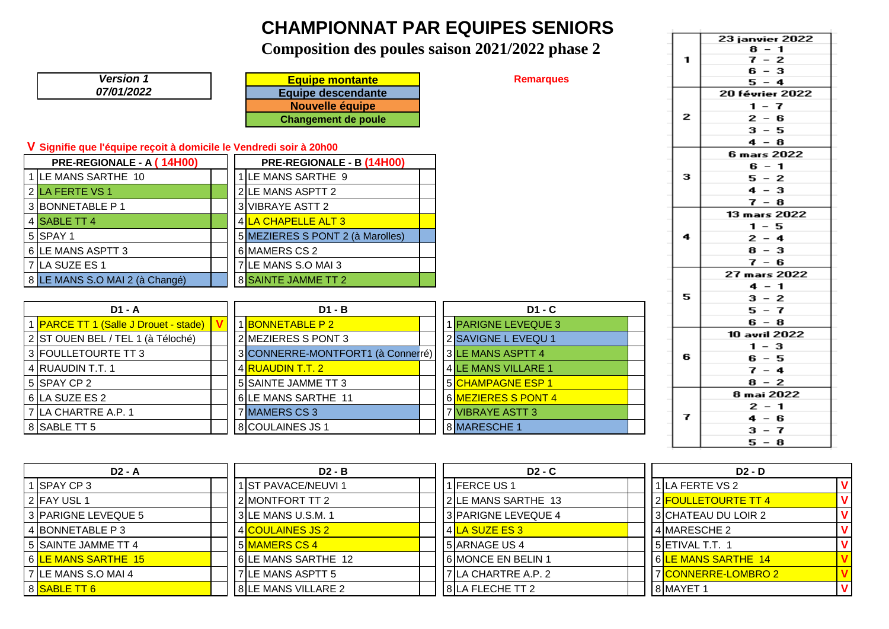## **CHAMPIONNAT PAR EQUIPES SENIORS**

## **Composition des poules saison 2021/2022 phase 2**

| <b>Version 1</b><br>07/01/2022<br>V Signifie que l'équipe reçoit à domicile le Vendredi soir à 20h00 | <b>Equipe montante</b><br><b>Equipe descendante</b><br><b>Nouvelle équipe</b><br><b>Changement de poule</b> | <b>Remarques</b>        |
|------------------------------------------------------------------------------------------------------|-------------------------------------------------------------------------------------------------------------|-------------------------|
| PRE-REGIONALE - A (14H00)                                                                            | PRE-REGIONALE - B (14H00)                                                                                   |                         |
| 1 LE MANS SARTHE 10                                                                                  | 1LE MANS SARTHE 9                                                                                           |                         |
| 2 LA FERTE VS 1                                                                                      | 2 LE MANS ASPTT 2                                                                                           |                         |
| 3 BONNETABLE P 1                                                                                     | 3 VIBRAYE ASTT 2                                                                                            |                         |
| 4 SABLE TT 4                                                                                         | 4 LA CHAPELLE ALT 3                                                                                         |                         |
| 5 SPAY 1                                                                                             | 5 MEZIERES S PONT 2 (à Marolles)                                                                            |                         |
| 6 LE MANS ASPTT 3                                                                                    | 6 MAMERS CS 2                                                                                               |                         |
| 7 LA SUZE ES 1                                                                                       | 7LE MANS S.O MAI 3                                                                                          |                         |
| 8 LE MANS S.O MAI 2 (à Changé)                                                                       | 8 SAINTE JAMME TT 2                                                                                         |                         |
|                                                                                                      |                                                                                                             |                         |
| $D1 - A$                                                                                             | $D1 - B$                                                                                                    | $D1 - C$                |
| 1 PARCE TT 1 (Salle J Drouet - stade)                                                                | 1BONNETABLE P 2                                                                                             | 1 PARIGNE LEVEQUE 3     |
| 2 ST OUEN BEL / TEL 1 (à Téloché)                                                                    | 2 MEZIERES S PONT 3                                                                                         | 2 SAVIGNE L EVEQU 1     |
| 3 FOULLETOURTE TT 3                                                                                  | 3 CONNERRE-MONTFORT1 (à Connerré)                                                                           | 3 LE MANS ASPTT 4       |
| 4 RUAUDIN T.T. 1                                                                                     | 4 RUAUDIN T.T. 2                                                                                            | 4 LE MANS VILLARE 1     |
| 5 SPAY CP 2                                                                                          | 5 SAINTE JAMME TT 3                                                                                         | 5 CHAMPAGNE ESP 1       |
| 6 LA SUZE ES 2                                                                                       | 6LE MANS SARTHE 11                                                                                          | 6 MEZIERES S PONT 4     |
| 7 LA CHARTRE A.P. 1                                                                                  | 7 MAMERS CS 3                                                                                               | <b>7 VIBRAYE ASTT 3</b> |
| 8 SABLE TT 5                                                                                         | 8 COULAINES JS 1                                                                                            | 8 MARESCHE 1            |

|   | <b>23 janvier 2022</b>                        |
|---|-----------------------------------------------|
|   | 8<br>$\mathbf{1}$<br>$\overline{\phantom{m}}$ |
| 1 | $7 -$<br>2                                    |
|   | $-3$<br>6.                                    |
|   | $5 - 4$                                       |
|   | 20 février 2022                               |
|   | $1 - 7$                                       |
| 2 | $2 - 6$                                       |
|   | $3 - 5$                                       |
|   | 4<br>8<br>$-$                                 |
|   | 6 mars 2022                                   |
|   | $6 - 1$                                       |
| 3 | $5 - 2$                                       |
|   | $\overline{\phantom{0}}$<br>4<br>з            |
|   | $7 -$<br>8                                    |
|   | 13 mars 2022                                  |
|   | $1 - 5$                                       |
| 4 | 2<br>$-4$                                     |
|   | 8.<br>- 3                                     |
|   | $7 - 6$                                       |
|   | 27 mars 2022                                  |
|   | $4 - 1$                                       |
| 5 | 2<br>$3 -$                                    |
|   | $5 -$<br>7                                    |
|   | 6 –<br>8                                      |
|   | 10 avril 2022                                 |
|   | з<br>$1 -$                                    |
| 6 | 6 – 5                                         |
|   | $7 - 4$                                       |
|   | 2<br>$-$<br>8                                 |
|   | 8 mai 2022                                    |
|   | 2<br>$-1$                                     |
| 7 | 4<br>6<br>$\overline{\phantom{a}}$            |
|   | з<br>7<br>-                                   |
|   | 5 –<br>8                                      |
|   |                                               |

| D2 - A<br>$D2 - B$               |                                | $D2 - C$               | $D2 - D$                         |  |
|----------------------------------|--------------------------------|------------------------|----------------------------------|--|
| 1 ISPAY CP 3                     | I IST PAVACE/NEUVI 1           | I IFERCE US 1          | I ILA FERTE VS 2                 |  |
| 2 FAY USL 1                      | 2 IMONTFORT TT 2               | 2LE MANS SARTHE 13     | 2 <mark>FOULLETOURTE TT 4</mark> |  |
| 3 PARIGNE LEVEQUE 5              | 3 ILE MANS U.S.M. 1            | 3 PARIGNE LEVEQUE 4    | 3 CHATEAU DU LOIR 2              |  |
| 4 BONNETABLE P 3                 | 4 <mark>ICOULAINES JS 2</mark> | 4LA SUZE ES 3          | 4 MARESCHE 2                     |  |
| 5 SAINTE JAMME TT 4              | 5 MAMERS CS 4                  | 5 ARNAGE US 4          | l 51ETIVAL T.T.  1               |  |
| 6 <mark>LE MANS SARTHE 15</mark> | 6LE MANS SARTHE 12             | 6 MONCE EN BELIN 1     | 6LE MANS SARTHE 14               |  |
| 7 LE MANS S.O MAI 4              | 7 LE MANS ASPTT 5              | 7LA CHARTRE A.P. 2     | <u>I 7 CONNERRE-LOMBRO 2</u>     |  |
| 8 <mark>SABLE TT 6</mark>        | <b>8LE MANS VILLARE 2</b>      | <b>8LA FLECHE TT 2</b> | 8 MAYET 1                        |  |